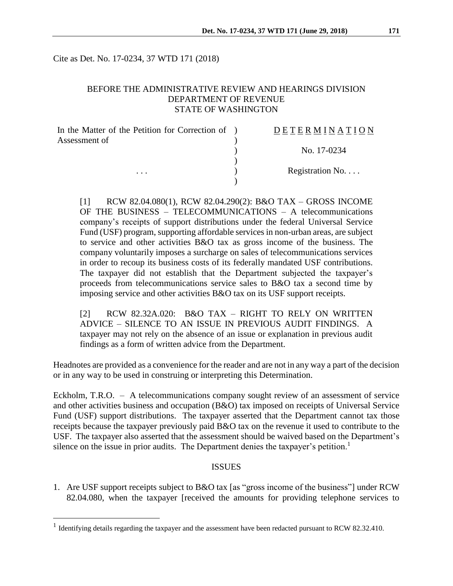Cite as Det. No. 17-0234, 37 WTD 171 (2018)

## BEFORE THE ADMINISTRATIVE REVIEW AND HEARINGS DIVISION DEPARTMENT OF REVENUE STATE OF WASHINGTON

| In the Matter of the Petition for Correction of ) | DETERMINATION            |
|---------------------------------------------------|--------------------------|
| Assessment of                                     |                          |
|                                                   | No. 17-0234              |
|                                                   |                          |
| $\cdots$                                          | Registration No. $\dots$ |
|                                                   |                          |

[1] RCW 82.04.080(1), RCW 82.04.290(2): B&O TAX – GROSS INCOME OF THE BUSINESS – TELECOMMUNICATIONS – A telecommunications company's receipts of support distributions under the federal Universal Service Fund (USF) program, supporting affordable services in non-urban areas, are subject to service and other activities B&O tax as gross income of the business. The company voluntarily imposes a surcharge on sales of telecommunications services in order to recoup its business costs of its federally mandated USF contributions. The taxpayer did not establish that the Department subjected the taxpayer's proceeds from telecommunications service sales to B&O tax a second time by imposing service and other activities B&O tax on its USF support receipts.

[2] RCW 82.32A.020: B&O TAX – RIGHT TO RELY ON WRITTEN ADVICE – SILENCE TO AN ISSUE IN PREVIOUS AUDIT FINDINGS. A taxpayer may not rely on the absence of an issue or explanation in previous audit findings as a form of written advice from the Department.

Headnotes are provided as a convenience for the reader and are not in any way a part of the decision or in any way to be used in construing or interpreting this Determination.

Eckholm, T.R.O. – A telecommunications company sought review of an assessment of service and other activities business and occupation (B&O) tax imposed on receipts of Universal Service Fund (USF) support distributions. The taxpayer asserted that the Department cannot tax those receipts because the taxpayer previously paid B&O tax on the revenue it used to contribute to the USF. The taxpayer also asserted that the assessment should be waived based on the Department's silence on the issue in prior audits. The Department denies the taxpayer's petition.<sup>1</sup>

#### ISSUES

1. Are USF support receipts subject to B&O tax [as "gross income of the business"] under RCW 82.04.080, when the taxpayer [received the amounts for providing telephone services to

 $\overline{a}$ 

<sup>&</sup>lt;sup>1</sup> Identifying details regarding the taxpayer and the assessment have been redacted pursuant to RCW 82.32.410.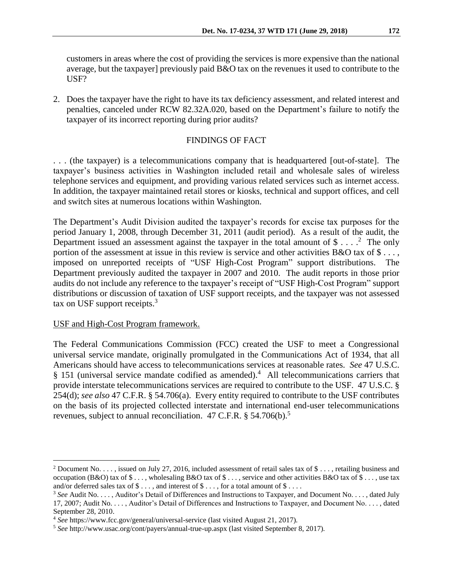customers in areas where the cost of providing the services is more expensive than the national average, but the taxpayer] previously paid B&O tax on the revenues it used to contribute to the USF?

2. Does the taxpayer have the right to have its tax deficiency assessment, and related interest and penalties, canceled under RCW 82.32A.020, based on the Department's failure to notify the taxpayer of its incorrect reporting during prior audits?

# FINDINGS OF FACT

. . . (the taxpayer) is a telecommunications company that is headquartered [out-of-state]. The taxpayer's business activities in Washington included retail and wholesale sales of wireless telephone services and equipment, and providing various related services such as internet access. In addition, the taxpayer maintained retail stores or kiosks, technical and support offices, and cell and switch sites at numerous locations within Washington.

The Department's Audit Division audited the taxpayer's records for excise tax purposes for the period January 1, 2008, through December 31, 2011 (audit period). As a result of the audit, the Department issued an assessment against the taxpayer in the total amount of  $\$\dots$ <sup>2</sup> The only portion of the assessment at issue in this review is service and other activities B&O tax of \$..., imposed on unreported receipts of "USF High-Cost Program" support distributions. The Department previously audited the taxpayer in 2007 and 2010. The audit reports in those prior audits do not include any reference to the taxpayer's receipt of "USF High-Cost Program" support distributions or discussion of taxation of USF support receipts, and the taxpayer was not assessed tax on USF support receipts.<sup>3</sup>

## USF and High-Cost Program framework.

 $\overline{a}$ 

The Federal Communications Commission (FCC) created the USF to meet a Congressional universal service mandate, originally promulgated in the Communications Act of 1934, that all Americans should have access to telecommunications services at reasonable rates. *See* 47 U.S.C. § 151 (universal service mandate codified as amended).<sup>4</sup> All telecommunications carriers that provide interstate telecommunications services are required to contribute to the USF. 47 U.S.C. § 254(d); *see also* 47 C.F.R. § 54.706(a). Every entity required to contribute to the USF contributes on the basis of its projected collected interstate and international end-user telecommunications revenues, subject to annual reconciliation.  $47$  C.F.R. §  $54.706(b)$ .<sup>5</sup>

<sup>&</sup>lt;sup>2</sup> Document No. . . . , issued on July 27, 2016, included assessment of retail sales tax of \$ . . . , retailing business and occupation (B&O) tax of  $\$\ldots$ , wholesaling B&O tax of  $\$\ldots$ , service and other activities B&O tax of  $\$\ldots$ , use tax and/or deferred sales tax of  $\$\dots$ , and interest of  $\$\dots$ , for a total amount of  $\$\dots$ .

<sup>3</sup> *See* Audit No. . . . , Auditor's Detail of Differences and Instructions to Taxpayer, and Document No. . . . , dated July 17, 2007; Audit No. . . . , Auditor's Detail of Differences and Instructions to Taxpayer, and Document No. . . . , dated September 28, 2010.

<sup>4</sup> *See* https://www.fcc.gov/general/universal-service (last visited August 21, 2017).

<sup>5</sup> *See* http://www.usac.org/cont/payers/annual-true-up.aspx (last visited September 8, 2017).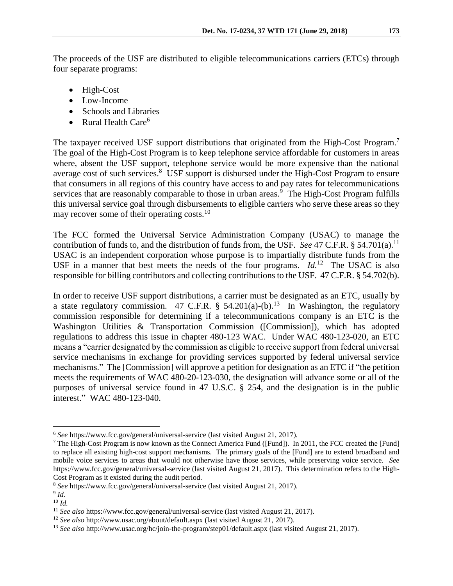The proceeds of the USF are distributed to eligible telecommunications carriers (ETCs) through four separate programs:

- High-Cost
- Low-Income
- Schools and Libraries
- Rural Health Care $<sup>6</sup>$ </sup>

The taxpayer received USF support distributions that originated from the High-Cost Program.<sup>7</sup> The goal of the High-Cost Program is to keep telephone service affordable for customers in areas where, absent the USF support, telephone service would be more expensive than the national average cost of such services.<sup>8</sup> USF support is disbursed under the High-Cost Program to ensure that consumers in all regions of this country have access to and pay rates for telecommunications services that are reasonably comparable to those in urban areas.<sup>9</sup> The High-Cost Program fulfills this universal service goal through disbursements to eligible carriers who serve these areas so they may recover some of their operating costs.<sup>10</sup>

The FCC formed the Universal Service Administration Company (USAC) to manage the contribution of funds to, and the distribution of funds from, the USF. *See* 47 C.F.R. § 54.701(a).<sup>11</sup> USAC is an independent corporation whose purpose is to impartially distribute funds from the USF in a manner that best meets the needs of the four programs.  $Id$ <sup>12</sup> The USAC is also responsible for billing contributors and collecting contributions to the USF. 47 C.F.R. § 54.702(b).

In order to receive USF support distributions, a carrier must be designated as an ETC, usually by a state regulatory commission. 47 C.F.R. § 54.201(a)-(b).<sup>13</sup> In Washington, the regulatory commission responsible for determining if a telecommunications company is an ETC is the Washington Utilities & Transportation Commission ([Commission]), which has adopted regulations to address this issue in chapter 480-123 WAC. Under WAC 480-123-020, an ETC means a "carrier designated by the commission as eligible to receive support from federal universal service mechanisms in exchange for providing services supported by federal universal service mechanisms." The [Commission] will approve a petition for designation as an ETC if "the petition meets the requirements of WAC 480-20-123-030, the designation will advance some or all of the purposes of universal service found in 47 U.S.C. § 254, and the designation is in the public interest." WAC 480-123-040.

 $\overline{a}$ 

<sup>6</sup> *See* https://www.fcc.gov/general/universal-service (last visited August 21, 2017).

<sup>7</sup> The High-Cost Program is now known as the Connect America Fund ([Fund]). In 2011, the FCC created the [Fund] to replace all existing high-cost support mechanisms. The primary goals of the [Fund] are to extend broadband and mobile voice services to areas that would not otherwise have those services, while preserving voice service. *See*  https://www.fcc.gov/general/universal-service (last visited August 21, 2017). This determination refers to the High-Cost Program as it existed during the audit period.

<sup>8</sup> *See* https://www.fcc.gov/general/universal-service (last visited August 21, 2017).

<sup>9</sup> *Id.* <sup>10</sup> *Id.*

<sup>11</sup> *See also* https://www.fcc.gov/general/universal-service (last visited August 21, 2017).

<sup>12</sup> *See also* http://www.usac.org/about/default.aspx (last visited August 21, 2017).

<sup>13</sup> *See also* http://www.usac.org/hc/join-the-program/step01/default.aspx (last visited August 21, 2017).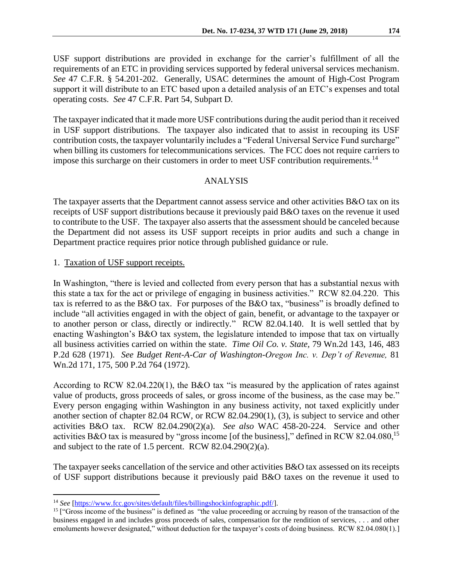USF support distributions are provided in exchange for the carrier's fulfillment of all the requirements of an ETC in providing services supported by federal universal services mechanism. *See* 47 C.F.R. § 54.201-202. Generally, USAC determines the amount of High-Cost Program support it will distribute to an ETC based upon a detailed analysis of an ETC's expenses and total operating costs. *See* 47 C.F.R. Part 54, Subpart D.

The taxpayer indicated that it made more USF contributions during the audit period than it received in USF support distributions. The taxpayer also indicated that to assist in recouping its USF contribution costs, the taxpayer voluntarily includes a "Federal Universal Service Fund surcharge" when billing its customers for telecommunications services. The FCC does not require carriers to impose this surcharge on their customers in order to meet USF contribution requirements. 14

# ANALYSIS

The taxpayer asserts that the Department cannot assess service and other activities B&O tax on its receipts of USF support distributions because it previously paid B&O taxes on the revenue it used to contribute to the USF. The taxpayer also asserts that the assessment should be canceled because the Department did not assess its USF support receipts in prior audits and such a change in Department practice requires prior notice through published guidance or rule.

## 1. Taxation of USF support receipts.

 $\overline{a}$ 

In Washington, "there is levied and collected from every person that has a substantial nexus with this state a tax for the act or privilege of engaging in business activities." RCW 82.04.220. This tax is referred to as the B&O tax. For purposes of the B&O tax, "business" is broadly defined to include "all activities engaged in with the object of gain, benefit, or advantage to the taxpayer or to another person or class, directly or indirectly." RCW 82.04.140. It is well settled that by enacting Washington's B&O tax system, the legislature intended to impose that tax on virtually all business activities carried on within the state. *Time Oil Co. v. State,* 79 Wn.2d 143, 146, 483 P.2d 628 (1971). *See Budget Rent-A-Car of Washington-Oregon Inc. v. Dep't of Revenue,* 81 Wn.2d 171, 175, 500 P.2d 764 (1972).

According to RCW 82.04.220(1), the B&O tax "is measured by the application of rates against value of products, gross proceeds of sales, or gross income of the business, as the case may be." Every person engaging within Washington in any business activity, not taxed explicitly under another section of chapter 82.04 RCW, or RCW 82.04.290(1), (3), is subject to service and other activities B&O tax. RCW 82.04.290(2)(a). *See also* WAC 458-20-224. Service and other activities B&O tax is measured by "gross income [of the business]," defined in RCW 82.04.080,<sup>15</sup> and subject to the rate of 1.5 percent. RCW 82.04.290(2)(a).

The taxpayer seeks cancellation of the service and other activities B&O tax assessed on its receipts of USF support distributions because it previously paid B&O taxes on the revenue it used to

<sup>14</sup> *See* [\[https://www.fcc.gov/sites/default/files/billingshockinfographic.pdf/\]](https://www.fcc.gov/sites/default/files/billingshockinfographic.pdf/).

<sup>&</sup>lt;sup>15</sup> ["Gross income of the business" is defined as "the value proceeding or accruing by reason of the transaction of the business engaged in and includes gross proceeds of sales, compensation for the rendition of services, . . . and other emoluments however designated," without deduction for the taxpayer's costs of doing business. RCW 82.04.080(1).]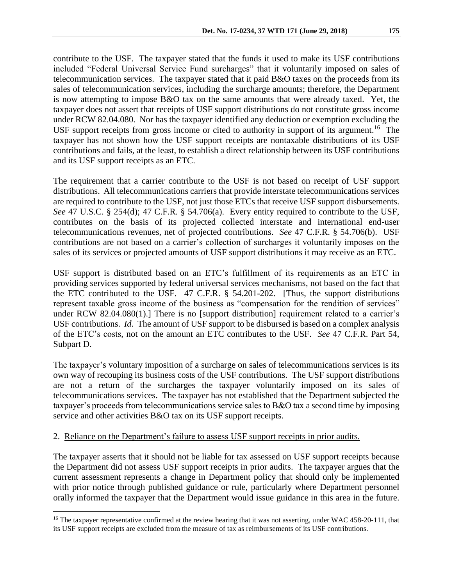contribute to the USF. The taxpayer stated that the funds it used to make its USF contributions included "Federal Universal Service Fund surcharges" that it voluntarily imposed on sales of telecommunication services. The taxpayer stated that it paid B&O taxes on the proceeds from its sales of telecommunication services, including the surcharge amounts; therefore, the Department is now attempting to impose B&O tax on the same amounts that were already taxed. Yet, the taxpayer does not assert that receipts of USF support distributions do not constitute gross income under RCW 82.04.080. Nor has the taxpayer identified any deduction or exemption excluding the USF support receipts from gross income or cited to authority in support of its argument.<sup>16</sup> The taxpayer has not shown how the USF support receipts are nontaxable distributions of its USF contributions and fails, at the least, to establish a direct relationship between its USF contributions and its USF support receipts as an ETC.

The requirement that a carrier contribute to the USF is not based on receipt of USF support distributions. All telecommunications carriers that provide interstate telecommunications services are required to contribute to the USF, not just those ETCs that receive USF support disbursements. *See* 47 U.S.C. § 254(d); 47 C.F.R. § 54.706(a). Every entity required to contribute to the USF, contributes on the basis of its projected collected interstate and international end-user telecommunications revenues, net of projected contributions. *See* 47 C.F.R. § 54.706(b). USF contributions are not based on a carrier's collection of surcharges it voluntarily imposes on the sales of its services or projected amounts of USF support distributions it may receive as an ETC.

USF support is distributed based on an ETC's fulfillment of its requirements as an ETC in providing services supported by federal universal services mechanisms, not based on the fact that the ETC contributed to the USF. 47 C.F.R. § 54.201-202. [Thus, the support distributions represent taxable gross income of the business as "compensation for the rendition of services" under RCW 82.04.080(1).] There is no [support distribution] requirement related to a carrier's USF contributions. *Id*. The amount of USF support to be disbursed is based on a complex analysis of the ETC's costs, not on the amount an ETC contributes to the USF. *See* 47 C.F.R. Part 54, Subpart D.

The taxpayer's voluntary imposition of a surcharge on sales of telecommunications services is its own way of recouping its business costs of the USF contributions. The USF support distributions are not a return of the surcharges the taxpayer voluntarily imposed on its sales of telecommunications services. The taxpayer has not established that the Department subjected the taxpayer's proceeds from telecommunications service sales to B&O tax a second time by imposing service and other activities B&O tax on its USF support receipts.

#### 2. Reliance on the Department's failure to assess USF support receipts in prior audits.

 $\overline{a}$ 

The taxpayer asserts that it should not be liable for tax assessed on USF support receipts because the Department did not assess USF support receipts in prior audits. The taxpayer argues that the current assessment represents a change in Department policy that should only be implemented with prior notice through published guidance or rule, particularly where Department personnel orally informed the taxpayer that the Department would issue guidance in this area in the future.

<sup>&</sup>lt;sup>16</sup> The taxpayer representative confirmed at the review hearing that it was not asserting, under WAC 458-20-111, that its USF support receipts are excluded from the measure of tax as reimbursements of its USF contributions.